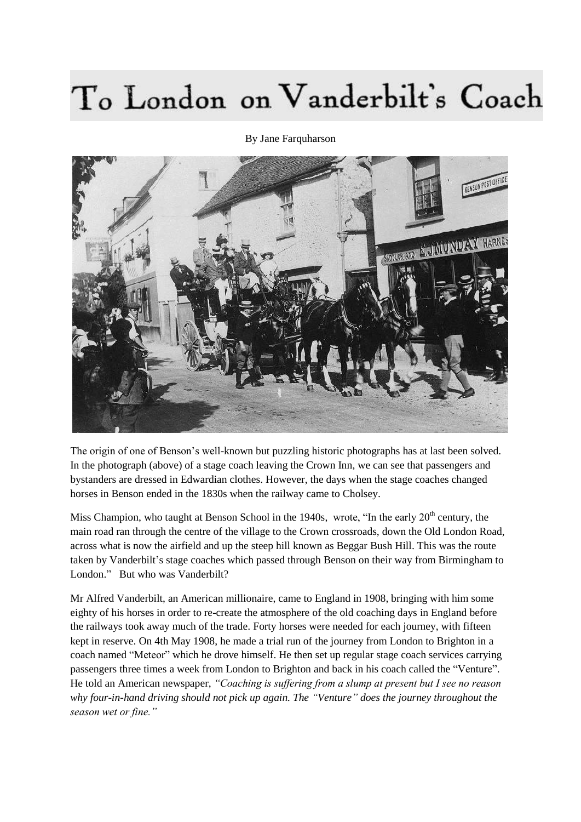## To London on Vanderbilt's Coach

By Jane Farquharson



The origin of one of Benson's well-known but puzzling historic photographs has at last been solved. In the photograph (above) of a stage coach leaving the Crown Inn, we can see that passengers and bystanders are dressed in Edwardian clothes. However, the days when the stage coaches changed horses in Benson ended in the 1830s when the railway came to Cholsey.

Miss Champion, who taught at Benson School in the 1940s, wrote, "In the early  $20<sup>th</sup>$  century, the main road ran through the centre of the village to the Crown crossroads, down the Old London Road, across what is now the airfield and up the steep hill known as Beggar Bush Hill. This was the route taken by Vanderbilt's stage coaches which passed through Benson on their way from Birmingham to London." But who was Vanderbilt?

Mr Alfred Vanderbilt, an American millionaire, came to England in 1908, bringing with him some eighty of his horses in order to re-create the atmosphere of the old coaching days in England before the railways took away much of the trade. Forty horses were needed for each journey, with fifteen kept in reserve. On 4th May 1908, he made a trial run of the journey from London to Brighton in a coach named "Meteor" which he drove himself. He then set up regular stage coach services carrying passengers three times a week from London to Brighton and back in his coach called the "Venture". He told an American newspaper, *"Coaching is suffering from a slump at present but I see no reason why four-in-hand driving should not pick up again. The "Venture" does the journey throughout the season wet or fine."*